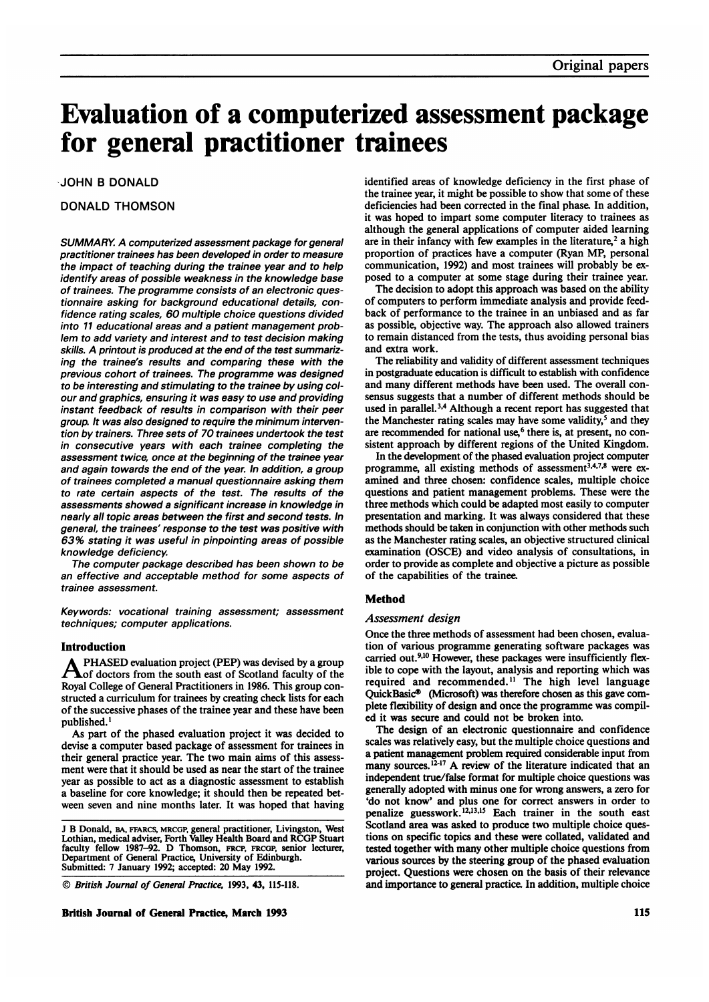# Evaluation of a computerized assessment package for general practitioner trainees

JOHN B DONALD

# DONALD THOMSON

SUMMARY. A computerized assessment package for general practitioner trainees has been developed in order to measure the impact of teaching during the trainee year and to help identify areas of possible weakness in the knowledge base of trainees. The programme consists of an electronic questionnaire asking for background educational details, confidence rating scales, 60 multiple choice questions divided into <sup>11</sup> educational areas and a patient management problem to add variety and interest and to test decision making skills. A printout is produced at the end of the test summarizing the trainee's results and comparing these with the previous cohort of trainees. The programme was designed to be interesting and stimulating to the trainee by using colour and graphics, ensuring it was easy to use and providing instant feedback of results in comparison with their peer group. It was also designed to require the minimum intervention by trainers. Three sets of 70 trainees undertook the test in consecutive years with each trainee completing the assessment twice, once at the beginning of the trainee year and again towards the end of the year. In addition, a group of trainees completed a manual questionnaire asking them to rate certain aspects of the test. The results of the assessments showed a significant increase in knowledge in nearly all topic areas between the first and second tests. In general, the trainees' response to the test was positive with 63% stating it was useful in pinpointing areas of possible knowledge deficiency.

The computer package described has been shown to be an effective and acceptable method for some aspects of trainee assessment.

Keywords: vocational training assessment; assessment techniques; computer applications.

# Introduction

PHASED evaluation project (PEP) was devised by a group of doctors from the south east of Scotland faculty of the Royal College of General Practitioners in 1986. This group constructed a curriculum for trainees by creating check lists for each of the successive phases of the trainee year and these have been published.'

As part of the phased evaluation project it was decided to devise a computer based package of assessment for trainees in their general practice year. The two main aims of this assessment were that it should be used as near the start of the trainee year as possible to act as a diagnostic assessment to establish a baseline for core knowledge; it should then be repeated between seven and nine months later. It was hoped that having

© British Journal of General Practice, 1993, 43, 115-118.

British Journal of General Practice, March 1993 115

identified areas of knowledge deficiency in the first phase of the trainee year, it might be possible to show that some of these deficiencies had been corrected in the final phase. In addition, it was hoped to impart some computer literacy to trainees as although the general applications of computer aided learning are in their infancy with few examples in the literature,<sup>2</sup> a high proportion of practices have a computer (Ryan MP, personal communication, 1992) and most trainees will probably be exposed to a computer at some stage during their trainee year.

The decision to adopt this approach was based on the ability of computers to perform immediate analysis and provide feedback of performance to the trainee in an unbiased and as far as possible, objective way. The approach also allowed trainers to remain distanced from the tests, thus avoiding personal bias and extra work.

The reliability and validity of different assessment techniques in postgraduate education is difficult to establish with confidence and many different methods have been used. The overall consensus suggests that a number of different methods should be used in parallel.<sup>3,4</sup> Although a recent report has suggested that the Manchester rating scales may have some validity,<sup>5</sup> and they are recommended for national use,<sup>6</sup> there is, at present, no consistent approach by different regions of the United Kingdom.

In the development of the phased evaluation project computer programme, all existing methods of assessment<sup>3,4,7,8</sup> were examined and three chosen: confidence scales, multiple choice questions and patient management problems. These were the three methods which could be adapted most easily to computer presentation and marking. It was always considered that these methods should be taken in conjunction with other methods such as the Manchester rating scales, an objective structured clinical examination (OSCE) and video analysis of consultations, in order to provide as complete and objective a picture as possible of the capabilities of the trainee.

# Method

# Assessment design

Once the three methods of assessment had been chosen, evaluation of various programme generating software packages was carried out.<sup>9,10</sup> However, these packages were insufficiently flexible to cope with the layout, analysis and reporting which was required and recommended.<sup>11</sup> The high level language QuickBasic® (Microsoft) was therefore chosen as this gave complete flexibility of design and once the programme was compiled it was secure and could not be broken into.

The design of an electronic questionnaire and confidence scales was relatively easy, but the multiple choice questions and a patient management problem required considerable input from many sources.<sup> $12-17$ </sup> A review of the literature indicated that an independent true/false format for multiple choice questions was generally adopted with minus one for wrong answers, a zero for 'do not know' and plus one for correct answers in order to penalize guesswork. 12,13,15 Each trainer in the south east Scotland area was asked to produce two multiple choice questions on specific topics and these were collated, validated and tested together with many other multiple choice questions from various sources by the steering group of the phased evaluation project. Questions were chosen on the basis of their relevance and importance to general practice. In addition, multiple choice

<sup>J</sup> B Donald, BA, FFARCS, MRCGP, general practitioner, Livingston, West Lothian, medical adviser, Forth Valley Health Board and RCGP Stuart faculty fellow 1987-92. D Thomson, FRcP, FRcGP, senior lecturer, Department of General Practice, University of Edinburgh. Submitted: <sup>7</sup> January 1992; accepted: 20 May 1992.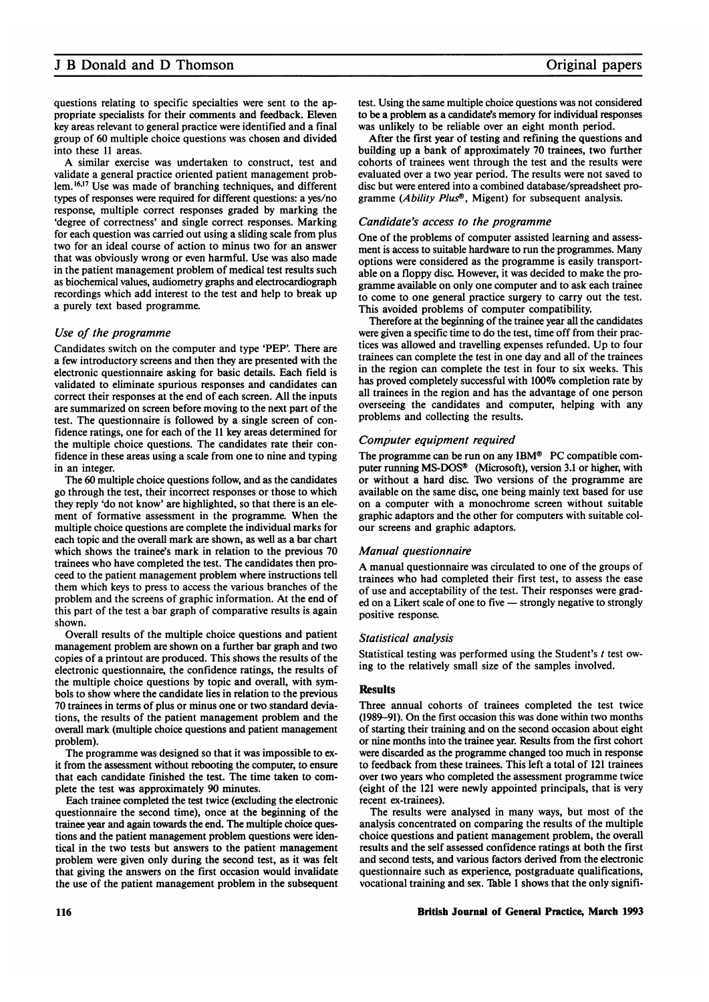# <sup>J</sup> B Donald and D Thomson

questions relating to specific specialties were sent to the appropriate specialists for their comments and feedback. Eleven key areas relevant to general practice were identified and a final group of 60 multiple choice questions was chosen and divided into these 11 areas.

A similar exercise was undertaken to construct, test and validate a general practice oriented patient management problem.<sup>16,17</sup> Use was made of branching techniques, and different types of responses were required for different questions: a yes/no response, multiple correct responses graded by marking the 'degree of correctness' and single correct responses. Marking for each question was carried out using a sliding scale from plus two for an ideal course of action to minus two for an answer that was obviously wrong or even harmful. Use was also made in the patient management problem of medical test results such as biochemical values, audiometry graphs and electrocardiograph recordings which add interest to the test and help to break up a purely text based programme.

# Use of the programme

Candidates switch on the computer and type 'PEP'. There are a few introductory screens and then they are presented with the electronic questionnaire asking for basic details. Each field is validated to eliminate spurious responses and candidates can correct their responses at the end of each screen. All the inputs are summarized on screen before moving to the next part of the test. The questionnaire is followed by a single screen of confidence ratings, one for each of the <sup>11</sup> key areas determined for the multiple choice questions. The candidates rate their confidence in these areas using a scale from one to nine and typing in an integer.

The 60 multiple choice questions follow, and as the candidates go through the test, their incorrect responses or those to which they reply 'do not know' are highlighted, so that there is an element of formative assessment in the programme. When the multiple choice questions are complete the individual marks for each topic and the overall mark are shown, as well as a bar chart which shows the trainee's mark in relation to the previous 70 trainees who have completed the test. The candidates then proceed to the patient management problem where instructions tell them which keys to press to access the various branches of the problem and the screens of graphic information. At the end of this part of the test a bar graph of comparative results is again shown.

Overall results of the multiple choice questions and patient management problem are shown on a further bar graph and two copies of a printout are produced. This shows the results of the electronic questionnaire, the confidence ratings, the results of the multiple choice questions by topic and overall, with symbols to show where the candidate lies in relation to the previous 70 trainees in terms of plus or minus one or two standard deviations, the results of the patient management problem and the overall mark (multiple choice questions and patient management problem).

The programme was designed so that it was impossible to exit from the assessment without rebooting the computer, to ensure that each candidate finished the test. The time taken to complete the test was approximately 90 minutes.

Each trainee completed the test twice (excluding the electronic questionnaire the second time), once at the beginning of the trainee year and again towards the end. The multiple choice questions and the patient management problem questions were identical in the two tests but answers to the patient management problem were given only during the second test, as it was felt that giving the answers on the first occasion would invalidate the use of the patient management problem in the subsequent

test. Using the same multiple choice questions was not considered to be a problem as a candidate's memory for individual responses was unlikely to be reliable over an eight month period.

After the first year of testing and refining the questions and building up a bank of approximately 70 trainees, two further cohorts of trainees went through the test and the results were evaluated over a two year period. The results were not saved to disc but were entered into a combined database/spreadsheet programme (Ability Plus®, Migent) for subsequent analysis.

# Candidate's access to the programme

One of the problems of computer assisted learning and assessment is access to suitable hardware to run the programmes. Many options were considered as the programme is easily transportable on a floppy disc. However, it was decided to make the programme available on only one computer and to ask each trainee to come to one general practice surgery to carry out the test. This avoided problems of computer compatibility.

Therefore at the beginning of the trainee year all the candidates were given a specific time to do the test, time off from their practices was allowed and travelling expenses refunded. Up to four trainees can complete the test in one day and all of the trainees in the region can complete the test in four to six weeks. This has proved completely successful with 100% completion rate by all trainees in the region and has the advantage of one person overseeing the candidates and computer, helping with any problems and collecting the results.

#### Computer equipment required

The programme can be run on any IBM® PC compatible computer running MS-DOS® (Microsoft), version 3.1 or higher, with or without a hard disc. Two versions of the programme are available on the same disc, one being mainly text based for use on a computer with a monochrome screen without suitable graphic adaptors and the other for computers with suitable colour screens and graphic adaptors.

## Manual questionnaire

A manual questionnaire was circulated to one of the groups of trainees who had completed their first test, to assess the ease of use and acceptability of the test. Their responses were graded on a Likert scale of one to five - strongly negative to strongly positive response.

#### Statistical analysis

Statistical testing was performed using the Student's <sup>t</sup> test owing to the relatively small size of the samples involved.

# **Results**

Three annual cohorts of trainees completed the test twice (1989-91). On the first occasion this was done within two months of starting their training and on the second occasion about eight or nine months into the trainee year. Results from the first cohort were discarded as the programme changed too much in response to feedback from these trainees. This left a total of 121 trainees over two years who completed the assessment programme twice (eight of the 121 were newly appointed principals, that is very recent ex-trainees).

The results were analysed in many ways, but most of the analysis concentrated on comparing the results of the multiple choice questions and patient management problem, the overall results and the self assessed confidence ratings at both the first and second tests, and various factors derived from the electronic questionnaire such as experience, postgraduate qualifications, vocational training and sex. Table 1 shows that the only signifi-

#### British Journal of General Practice, March <sup>1993</sup> <sup>116</sup>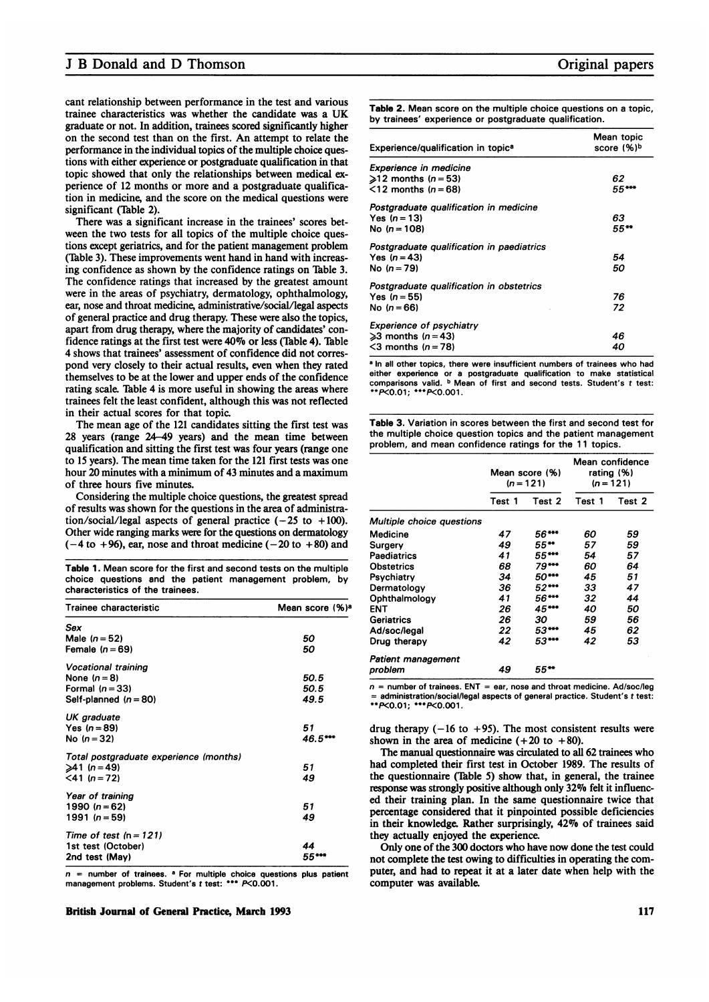# <sup>J</sup> B Donald and D Thomson

cant relationship between performance in the test and various trainee characteristics was whether the candidate was <sup>a</sup> UK graduate or not. In addition, trainees scored significantly higher on the second test than on the first. An attempt to relate the performance in the individual topics of the multiple choice questions with either experience or postgraduate qualification in that topic showed that only the relationships between medical experience of 12 months or more and a postgraduate qualification in medicine, and the score on the medical questions were significant (Table 2).

There was a significant increase in the trainees' scores between the two tests for all topics of the multiple choice questions except geriatrics, and for the patient management problem (Table 3). These improvements went hand in hand with increasing confidence as shown by the confidence ratings on Table 3. The confidence ratings that increased by the greatest amount were in the areas of psychiatry, dermatology, ophthalmology, ear, nose and throat medicine, administrative/social/legal aspects of general practice and drug therapy. These were also the topics, apart from drug therapy, where the majority of candidates' confidence ratings at the first test were 40% or less (Table 4). Table 4 shows that trainees' assessment of confidence did not correspond very closely to their actual results, even when they rated themselves to be at the lower and upper ends of the confidence rating scale. Table 4 is more useful in showing the areas where trainees felt the least confident, although this was not reflected in their actual scores for that topic.

The mean age of the <sup>121</sup> candidates sitting the first test was 28 years (range 24-49 years) and the mean time between qualification and sitting the first test was four years (range one to <sup>15</sup> years). The mean time taken for the 121 first tests was one hour 20 minutes with a minimum of 43 minutes and a maximum of three hours five minutes.

Considering the multiple choice questions, the greatest spread of results was shown for the questions in the area of administration/social/legal aspects of general practice  $(-25 \text{ to } +100)$ . Other wide ranging marks were for the questions on dermatology  $(-4 \text{ to } +96)$ , ear, nose and throat medicine  $(-20 \text{ to } +80)$  and

Table 1. Mean score for the first and second tests on the multiple choice questions and the patient management problem, by characteristics of the trainees.

| Trainee characteristic                                                                     | Mean score (%) <sup>a</sup> |  |
|--------------------------------------------------------------------------------------------|-----------------------------|--|
| Sex<br>Male $(n=52)$<br>Female $(n=69)$                                                    | 50<br>50                    |  |
|                                                                                            |                             |  |
| <b>Vocational training</b><br>None $(n=8)$<br>Formal $(n = 33)$<br>Self-planned $(n = 80)$ | 50.5<br>50.5<br>49.5        |  |
| UK graduate<br>Yes $(n = 89)$<br>No $(n = 32)$                                             | 51<br>46.5***               |  |
| Total postgraduate experience (months)<br>$\geq 41$ (n = 49)<br>$<$ 41 (n = 72)            | 51<br>49                    |  |
| Year of training<br>1990 $(n = 62)$<br>1991 ( $n = 59$ )                                   | 51<br>49                    |  |
| Time of test $(n = 121)$<br>1st test (October)<br>2nd test (May)                           | 44<br>55**                  |  |

 $n =$  number of trainees. <sup>a</sup> For multiple choice questions plus patient management problems. Student's <sup>t</sup> test: \*\*\* P<0.001.

British Journal of General Practice, March 1993 117

Table 2. Mean score on the multiple choice questions on a topic, by trainees' experience or postgraduate qualification.

| Experience/qualification in topic <sup>a</sup> | Mean topic<br>score (%)b |
|------------------------------------------------|--------------------------|
| Experience in medicine                         |                          |
| $\geq 12$ months (n = 53)                      | 62                       |
| $\leq$ 12 months (n = 68)                      | 55***                    |
| Postgraduate qualification in medicine         |                          |
| Yes $(n = 13)$                                 | 63                       |
| No $(n = 108)$                                 | 55**                     |
| Postgraduate qualification in paediatrics      |                          |
| Yes $(n=43)$                                   | 54                       |
| No $(n = 79)$                                  | 50                       |
| Postgraduate qualification in obstetrics       |                          |
| Yes $(n = 55)$                                 | 76                       |
| No $(n = 66)$                                  | 72                       |
| <b>Experience of psychiatry</b>                |                          |
| $\geq 3$ months (n = 43)                       | 46                       |
| $<$ 3 months (n = 78)                          | 40                       |

<sup>a</sup> In all other topics, there were insufficient numbers of trainees who had either experience or a postgraduate qualification to make statistical comparisons valid. <sup>b</sup> Mean of first and second tests. Student's <sup>t</sup> test: \*\*K<0.01; \*\*\*K<0.001.

| <b>Table 3.</b> Variation in scores between the first and second test for |
|---------------------------------------------------------------------------|
| the multiple choice question topics and the patient management            |
| problem, and mean confidence ratings for the 11 topics.                   |

|                                  | Mean score (%)<br>$(n = 121)$ |        | Mean confidence<br>rating $(%)$<br>$(n = 121)$ |        |
|----------------------------------|-------------------------------|--------|------------------------------------------------|--------|
|                                  | Test 1                        | Test 2 | Test 1                                         | Test 2 |
| <b>Multiple choice questions</b> |                               |        |                                                |        |
| Medicine                         | 47                            | 56***  | 60                                             | 59     |
| Surgery                          | 49                            | 55**   | 57                                             | 59     |
| Paediatrics                      | 41                            | 55***  | 54                                             | 57     |
| Obstetrics                       | 68                            | 79***  | 60                                             | 64     |
| Psychiatry                       | 34                            | 50***  | 45                                             | 51     |
| Dermatology                      | 36                            | 52***  | 33                                             | 47     |
| Ophthalmology                    | 41                            | 56***  | 32                                             | 44     |
| ENT                              | 26                            | 45***  | 40                                             | 50     |
| Geriatrics                       | 26                            | 30     | 59                                             | 56     |
| Ad/soc/legal                     | 22                            | 53***  | 45                                             | 62     |
| Drug therapy                     | 42                            | 53***  | 42                                             | 53     |
| Patient management               |                               |        |                                                |        |
| problem                          | 49                            | 55**   |                                                |        |

 $n =$  number of trainees. ENT = ear, nose and throat medicine. Ad/soc/leg = administration/social/legal aspects of general practice. Student's <sup>t</sup> test: \*\*K0.01; \*\*\*K0.001.

drug therapy  $(-16 \text{ to } +95)$ . The most consistent results were shown in the area of medicine  $(+20 \text{ to } +80)$ .

The manual questionnaire was circulated to all 62 trainees who had completed their first test in October 1989. The results of the questionnaire (Table 5) show that, in general, the trainee response was strongly positive although only 32% felt it influenced their training plan. In the same questionnaire twice that percentage considered that it pinpointed possible deficiencies in their knowledge. Rather surprisingly, 42% of trainees said they actually enjoyed the experience.

Only one of the 300 doctors who have now done the test could not complete the test owing to difficulties in operating the computer, and had to repeat it at a later date when help with the computer was available.